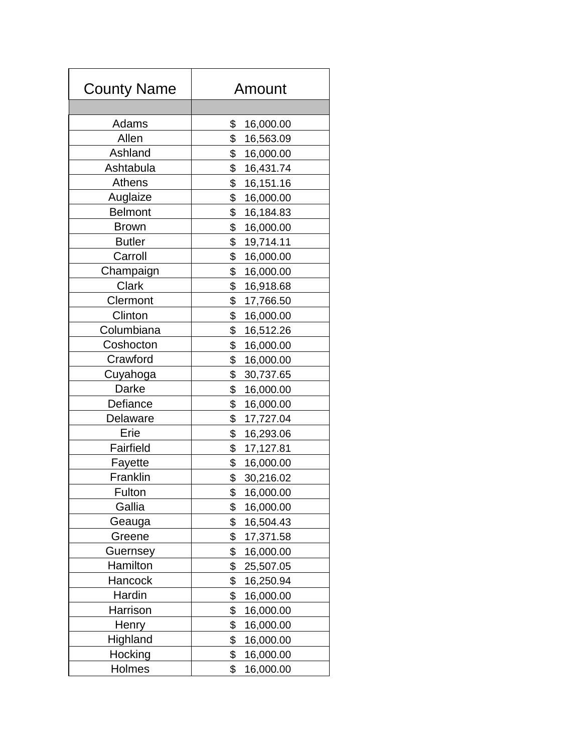| <b>County Name</b> | Amount          |
|--------------------|-----------------|
|                    |                 |
| Adams              | \$<br>16,000.00 |
| Allen              | \$<br>16,563.09 |
| Ashland            | \$<br>16,000.00 |
| Ashtabula          | \$<br>16,431.74 |
| Athens             | \$<br>16,151.16 |
| Auglaize           | \$<br>16,000.00 |
| <b>Belmont</b>     | \$<br>16,184.83 |
| <b>Brown</b>       | \$<br>16,000.00 |
| <b>Butler</b>      | \$<br>19,714.11 |
| Carroll            | \$<br>16,000.00 |
| Champaign          | \$<br>16,000.00 |
| Clark              | \$<br>16,918.68 |
| Clermont           | \$<br>17,766.50 |
| Clinton            | \$<br>16,000.00 |
| Columbiana         | \$<br>16,512.26 |
| Coshocton          | \$<br>16,000.00 |
| Crawford           | \$<br>16,000.00 |
| Cuyahoga           | \$<br>30,737.65 |
| Darke              | \$<br>16,000.00 |
| Defiance           | \$<br>16,000.00 |
| Delaware           | \$<br>17,727.04 |
| Erie               | \$<br>16,293.06 |
| Fairfield          | \$<br>17,127.81 |
| Fayette            | \$<br>16,000.00 |
| Franklin           | \$<br>30,216.02 |
| Fulton             | \$<br>16,000.00 |
| Gallia             | \$<br>16,000.00 |
| Geauga             | \$<br>16,504.43 |
| Greene             | \$<br>17,371.58 |
| Guernsey           | \$<br>16,000.00 |
| Hamilton           | \$<br>25,507.05 |
| Hancock            | \$<br>16,250.94 |
| Hardin             | \$<br>16,000.00 |
| Harrison           | \$<br>16,000.00 |
| Henry              | \$<br>16,000.00 |
| Highland           | \$<br>16,000.00 |
| Hocking            | \$<br>16,000.00 |
| Holmes             | 16,000.00<br>\$ |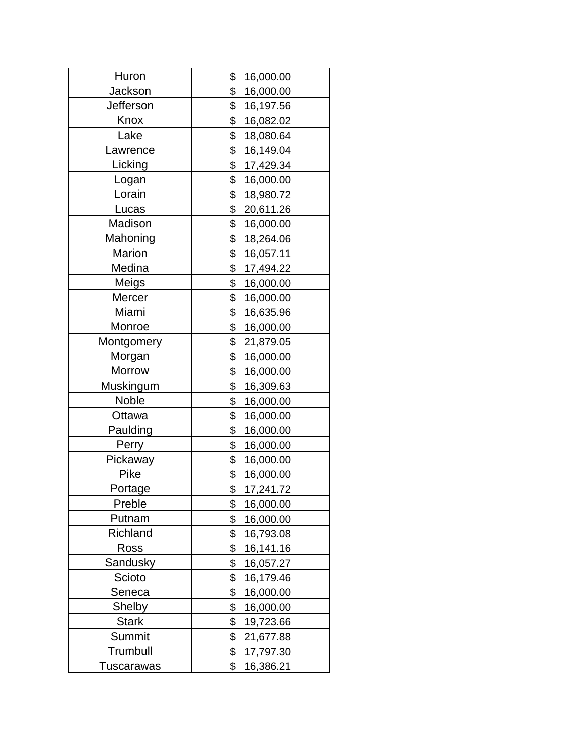| Huron           | \$<br>16,000.00 |
|-----------------|-----------------|
| Jackson         | \$<br>16,000.00 |
| Jefferson       | \$<br>16,197.56 |
| Knox            | \$<br>16,082.02 |
| Lake            | \$<br>18,080.64 |
| Lawrence        | \$<br>16,149.04 |
| Licking         | \$<br>17,429.34 |
| Logan           | \$<br>16,000.00 |
| Lorain          | \$<br>18,980.72 |
| Lucas           | \$<br>20,611.26 |
| Madison         | \$<br>16,000.00 |
| Mahoning        | \$<br>18,264.06 |
| Marion          | \$<br>16,057.11 |
| Medina          | \$<br>17,494.22 |
| Meigs           | \$<br>16,000.00 |
| Mercer          | \$<br>16,000.00 |
| Miami           | \$<br>16,635.96 |
| Monroe          | \$<br>16,000.00 |
| Montgomery      | \$<br>21,879.05 |
| Morgan          | \$<br>16,000.00 |
| Morrow          | \$<br>16,000.00 |
| Muskingum       | \$<br>16,309.63 |
| <b>Noble</b>    | \$<br>16,000.00 |
| Ottawa          | \$<br>16,000.00 |
| Paulding        | \$<br>16,000.00 |
| Perry           | \$<br>16,000.00 |
| Pickaway        | \$<br>16,000.00 |
| Pike            | \$<br>16,000.00 |
| Portage         | \$<br>17,241.72 |
| Preble          | \$<br>16,000.00 |
| Putnam          | \$<br>16,000.00 |
| <b>Richland</b> | \$<br>16,793.08 |
| Ross            | \$<br>16,141.16 |
| Sandusky        | \$<br>16,057.27 |
| Scioto          | \$<br>16,179.46 |
| Seneca          | \$<br>16,000.00 |
| Shelby          | \$<br>16,000.00 |
| <b>Stark</b>    | \$<br>19,723.66 |
| Summit          | \$<br>21,677.88 |
| Trumbull        | \$<br>17,797.30 |
| Tuscarawas      | \$<br>16,386.21 |